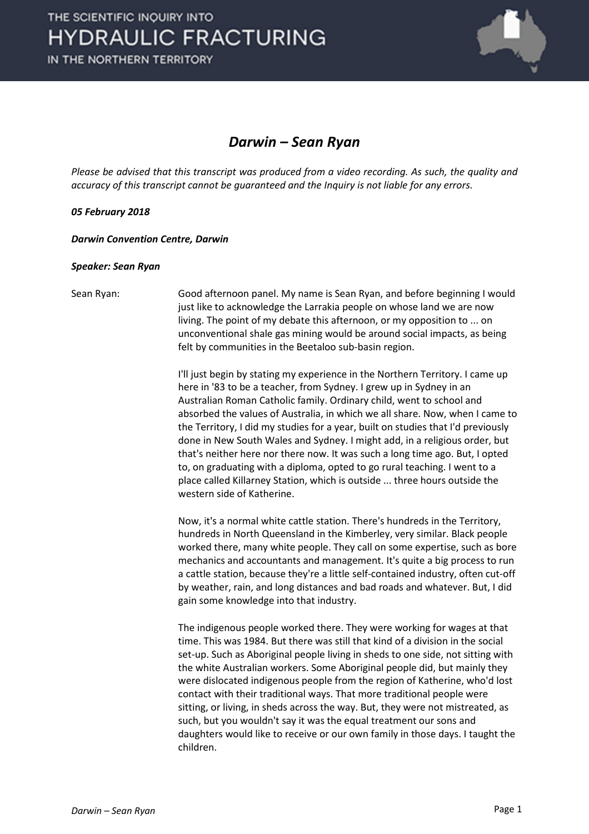

## *Darwin – Sean Ryan*

*Please be advised that this transcript was produced from a video recording. As such, the quality and accuracy of this transcript cannot be guaranteed and the Inquiry is not liable for any errors.*

## *05 February 2018*

*Darwin Convention Centre, Darwin* 

## *Speaker: Sean Ryan*

Sean Ryan: Good afternoon panel. My name is Sean Ryan, and before beginning I would just like to acknowledge the Larrakia people on whose land we are now living. The point of my debate this afternoon, or my opposition to ... on unconventional shale gas mining would be around social impacts, as being felt by communities in the Beetaloo sub-basin region.

> I'll just begin by stating my experience in the Northern Territory. I came up here in '83 to be a teacher, from Sydney. I grew up in Sydney in an Australian Roman Catholic family. Ordinary child, went to school and absorbed the values of Australia, in which we all share. Now, when I came to the Territory, I did my studies for a year, built on studies that I'd previously done in New South Wales and Sydney. I might add, in a religious order, but that's neither here nor there now. It was such a long time ago. But, I opted to, on graduating with a diploma, opted to go rural teaching. I went to a place called Killarney Station, which is outside ... three hours outside the western side of Katherine.

> Now, it's a normal white cattle station. There's hundreds in the Territory, hundreds in North Queensland in the Kimberley, very similar. Black people worked there, many white people. They call on some expertise, such as bore mechanics and accountants and management. It's quite a big process to run a cattle station, because they're a little self-contained industry, often cut-off by weather, rain, and long distances and bad roads and whatever. But, I did gain some knowledge into that industry.

> The indigenous people worked there. They were working for wages at that time. This was 1984. But there was still that kind of a division in the social set-up. Such as Aboriginal people living in sheds to one side, not sitting with the white Australian workers. Some Aboriginal people did, but mainly they were dislocated indigenous people from the region of Katherine, who'd lost contact with their traditional ways. That more traditional people were sitting, or living, in sheds across the way. But, they were not mistreated, as such, but you wouldn't say it was the equal treatment our sons and daughters would like to receive or our own family in those days. I taught the children.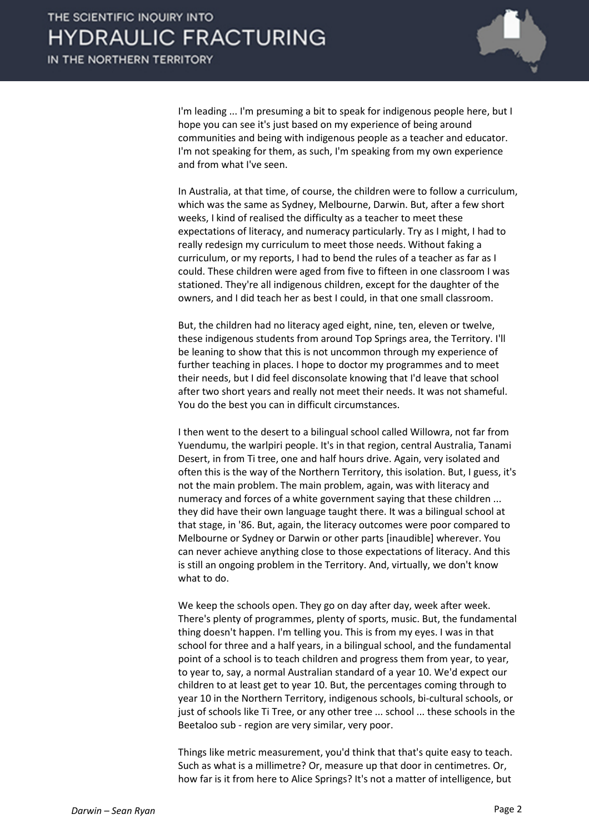

I'm leading ... I'm presuming a bit to speak for indigenous people here, but I hope you can see it's just based on my experience of being around communities and being with indigenous people as a teacher and educator. I'm not speaking for them, as such, I'm speaking from my own experience and from what I've seen.

In Australia, at that time, of course, the children were to follow a curriculum, which was the same as Sydney, Melbourne, Darwin. But, after a few short weeks, I kind of realised the difficulty as a teacher to meet these expectations of literacy, and numeracy particularly. Try as I might, I had to really redesign my curriculum to meet those needs. Without faking a curriculum, or my reports, I had to bend the rules of a teacher as far as I could. These children were aged from five to fifteen in one classroom I was stationed. They're all indigenous children, except for the daughter of the owners, and I did teach her as best I could, in that one small classroom.

But, the children had no literacy aged eight, nine, ten, eleven or twelve, these indigenous students from around Top Springs area, the Territory. I'll be leaning to show that this is not uncommon through my experience of further teaching in places. I hope to doctor my programmes and to meet their needs, but I did feel disconsolate knowing that I'd leave that school after two short years and really not meet their needs. It was not shameful. You do the best you can in difficult circumstances.

I then went to the desert to a bilingual school called Willowra, not far from Yuendumu, the warlpiri people. It's in that region, central Australia, Tanami Desert, in from Ti tree, one and half hours drive. Again, very isolated and often this is the way of the Northern Territory, this isolation. But, I guess, it's not the main problem. The main problem, again, was with literacy and numeracy and forces of a white government saying that these children ... they did have their own language taught there. It was a bilingual school at that stage, in '86. But, again, the literacy outcomes were poor compared to Melbourne or Sydney or Darwin or other parts [inaudible] wherever. You can never achieve anything close to those expectations of literacy. And this is still an ongoing problem in the Territory. And, virtually, we don't know what to do.

We keep the schools open. They go on day after day, week after week. There's plenty of programmes, plenty of sports, music. But, the fundamental thing doesn't happen. I'm telling you. This is from my eyes. I was in that school for three and a half years, in a bilingual school, and the fundamental point of a school is to teach children and progress them from year, to year, to year to, say, a normal Australian standard of a year 10. We'd expect our children to at least get to year 10. But, the percentages coming through to year 10 in the Northern Territory, indigenous schools, bi-cultural schools, or just of schools like Ti Tree, or any other tree ... school ... these schools in the Beetaloo sub - region are very similar, very poor.

Things like metric measurement, you'd think that that's quite easy to teach. Such as what is a millimetre? Or, measure up that door in centimetres. Or, how far is it from here to Alice Springs? It's not a matter of intelligence, but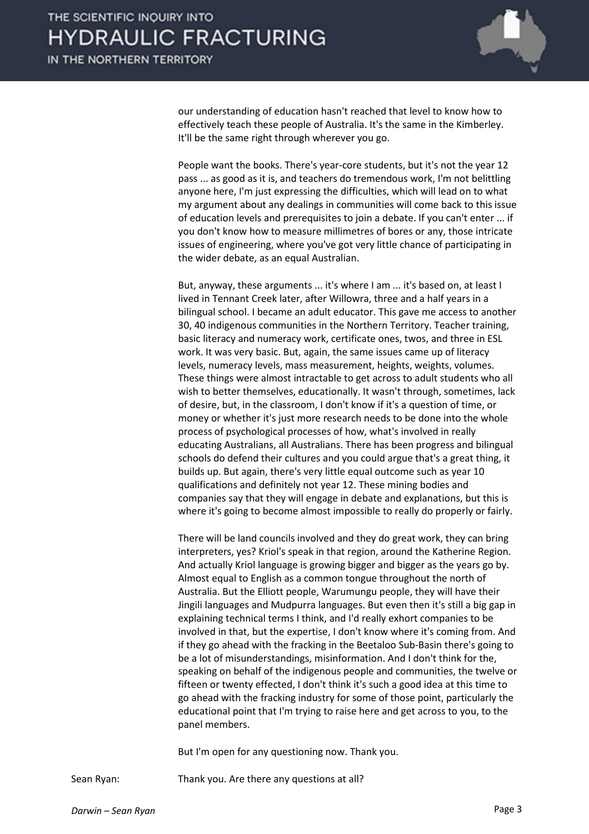

our understanding of education hasn't reached that level to know how to effectively teach these people of Australia. It's the same in the Kimberley. It'll be the same right through wherever you go.

People want the books. There's year-core students, but it's not the year 12 pass ... as good as it is, and teachers do tremendous work, I'm not belittling anyone here, I'm just expressing the difficulties, which will lead on to what my argument about any dealings in communities will come back to this issue of education levels and prerequisites to join a debate. If you can't enter ... if you don't know how to measure millimetres of bores or any, those intricate issues of engineering, where you've got very little chance of participating in the wider debate, as an equal Australian.

But, anyway, these arguments ... it's where I am ... it's based on, at least I lived in Tennant Creek later, after Willowra, three and a half years in a bilingual school. I became an adult educator. This gave me access to another 30, 40 indigenous communities in the Northern Territory. Teacher training, basic literacy and numeracy work, certificate ones, twos, and three in ESL work. It was very basic. But, again, the same issues came up of literacy levels, numeracy levels, mass measurement, heights, weights, volumes. These things were almost intractable to get across to adult students who all wish to better themselves, educationally. It wasn't through, sometimes, lack of desire, but, in the classroom, I don't know if it's a question of time, or money or whether it's just more research needs to be done into the whole process of psychological processes of how, what's involved in really educating Australians, all Australians. There has been progress and bilingual schools do defend their cultures and you could argue that's a great thing, it builds up. But again, there's very little equal outcome such as year 10 qualifications and definitely not year 12. These mining bodies and companies say that they will engage in debate and explanations, but this is where it's going to become almost impossible to really do properly or fairly.

There will be land councils involved and they do great work, they can bring interpreters, yes? Kriol's speak in that region, around the Katherine Region. And actually Kriol language is growing bigger and bigger as the years go by. Almost equal to English as a common tongue throughout the north of Australia. But the Elliott people, Warumungu people, they will have their Jingili languages and Mudpurra languages. But even then it's still a big gap in explaining technical terms I think, and I'd really exhort companies to be involved in that, but the expertise, I don't know where it's coming from. And if they go ahead with the fracking in the Beetaloo Sub-Basin there's going to be a lot of misunderstandings, misinformation. And I don't think for the, speaking on behalf of the indigenous people and communities, the twelve or fifteen or twenty effected, I don't think it's such a good idea at this time to go ahead with the fracking industry for some of those point, particularly the educational point that I'm trying to raise here and get across to you, to the panel members.

But I'm open for any questioning now. Thank you.

Sean Ryan: Thank you. Are there any questions at all?